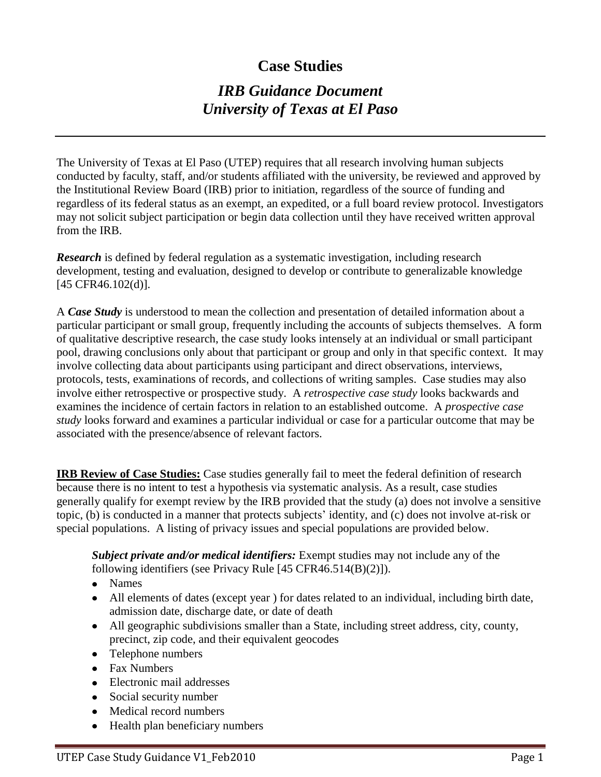## **Case Studies**

# *IRB Guidance Document University of Texas at El Paso*

The University of Texas at El Paso (UTEP) requires that all research involving human subjects conducted by faculty, staff, and/or students affiliated with the university, be reviewed and approved by the Institutional Review Board (IRB) prior to initiation, regardless of the source of funding and regardless of its federal status as an exempt, an expedited, or a full board review protocol. Investigators may not solicit subject participation or begin data collection until they have received written approval from the IRB.

**Research** is defined by federal regulation as a systematic investigation, including research development, testing and evaluation, designed to develop or contribute to generalizable knowledge [45 CFR46.102(d)].

A *Case Study* is understood to mean the collection and presentation of detailed information about a particular participant or small group, frequently including the accounts of subjects themselves. A form of qualitative descriptive research, the case study looks intensely at an individual or small participant pool, drawing conclusions only about that participant or group and only in that specific context. It may involve collecting data about participants using participant and direct observations, interviews, protocols, tests, examinations of records, and collections of writing samples. Case studies may also involve either retrospective or prospective study. A *retrospective case study* looks backwards and examines the incidence of certain factors in relation to an established outcome. A *prospective case study* looks forward and examines a particular individual or case for a particular outcome that may be associated with the presence/absence of relevant factors.

**IRB Review of Case Studies:** Case studies generally fail to meet the federal definition of research because there is no intent to test a hypothesis via systematic analysis. As a result, case studies generally qualify for exempt review by the IRB provided that the study (a) does not involve a sensitive topic, (b) is conducted in a manner that protects subjects' identity, and (c) does not involve at-risk or special populations. A listing of privacy issues and special populations are provided below.

*Subject private and/or medical identifiers:* Exempt studies may not include any of the following identifiers (see Privacy Rule [45 CFR46.514(B)(2)]).

- Names  $\bullet$
- All elements of dates (except year ) for dates related to an individual, including birth date,  $\bullet$ admission date, discharge date, or date of death
- All geographic subdivisions smaller than a State, including street address, city, county,  $\bullet$ precinct, zip code, and their equivalent geocodes
- Telephone numbers  $\bullet$
- Fax Numbers
- Electronic mail addresses
- Social security number  $\bullet$
- Medical record numbers  $\bullet$
- Health plan beneficiary numbers $\bullet$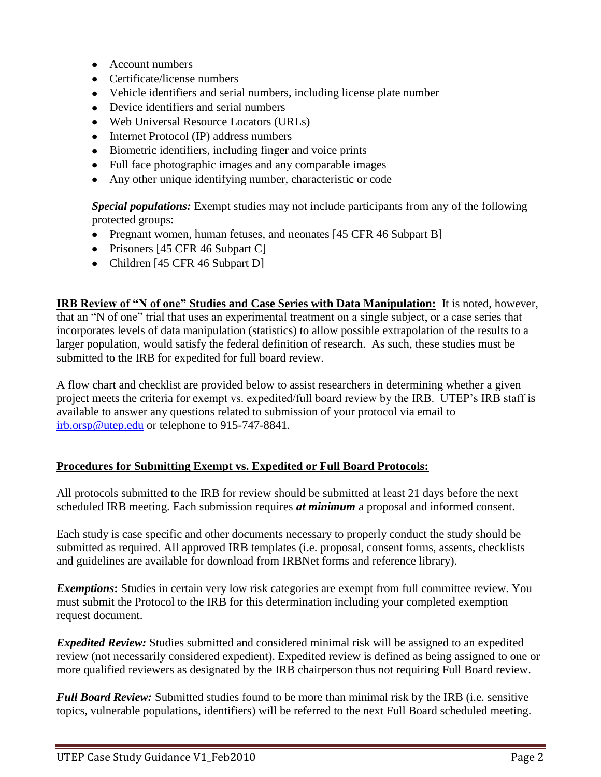- Account numbers
- Certificate/license numbers  $\bullet$
- $\bullet$ Vehicle identifiers and serial numbers, including license plate number
- Device identifiers and serial numbers
- Web Universal Resource Locators (URLs)  $\bullet$
- Internet Protocol (IP) address numbers
- $\bullet$ Biometric identifiers, including finger and voice prints
- Full face photographic images and any comparable images
- Any other unique identifying number, characteristic or code  $\bullet$

*Special populations:* Exempt studies may not include participants from any of the following protected groups:

- Pregnant women, human fetuses, and neonates [45 CFR 46 Subpart B]
- Prisoners [45 CFR 46 Subpart C]
- Children [45 CFR 46 Subpart D]

**IRB Review of "N of one" Studies and Case Series with Data Manipulation:** It is noted, however, that an "N of one" trial that uses an experimental treatment on a single subject, or a case series that incorporates levels of data manipulation (statistics) to allow possible extrapolation of the results to a larger population, would satisfy the federal definition of research. As such, these studies must be submitted to the IRB for expedited for full board review.

A flow chart and checklist are provided below to assist researchers in determining whether a given project meets the criteria for exempt vs. expedited/full board review by the IRB. UTEP's IRB staff is available to answer any questions related to submission of your protocol via email to [irb.orsp@utep.edu](mailto:irb.orsp@utep.edu) or telephone to 915-747-8841.

#### **Procedures for Submitting Exempt vs. Expedited or Full Board Protocols:**

All protocols submitted to the IRB for review should be submitted at least 21 days before the next scheduled IRB meeting. Each submission requires *at minimum* a proposal and informed consent.

Each study is case specific and other documents necessary to properly conduct the study should be submitted as required. All approved IRB templates (i.e. proposal, consent forms, assents, checklists and guidelines are available for download from IRBNet forms and reference library).

*Exemptions***:** Studies in certain very low risk categories are exempt from full committee review. You must submit the Protocol to the IRB for this determination including your completed exemption request document.

*Expedited Review:* Studies submitted and considered minimal risk will be assigned to an expedited review (not necessarily considered expedient). Expedited review is defined as being assigned to one or more qualified reviewers as designated by the IRB chairperson thus not requiring Full Board review.

*Full Board Review:* Submitted studies found to be more than minimal risk by the IRB (i.e. sensitive topics, vulnerable populations, identifiers) will be referred to the next Full Board scheduled meeting.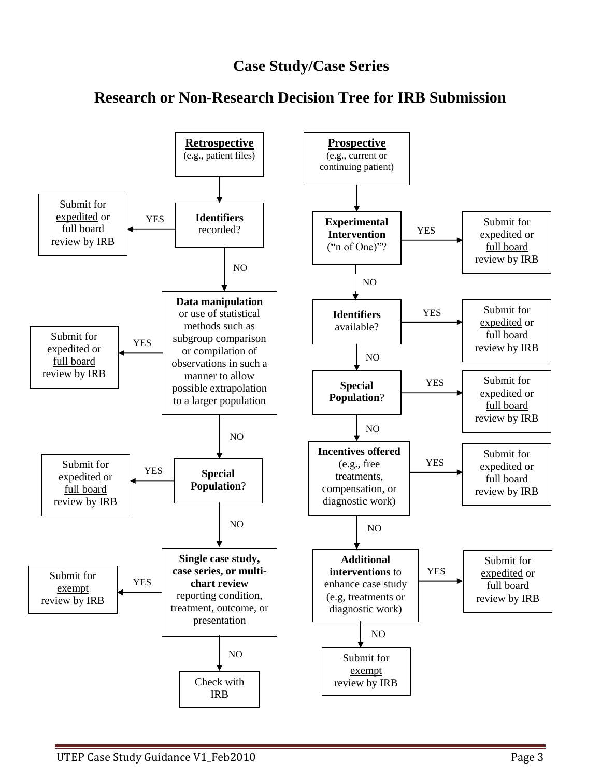## **Case Study/Case Series**



### **Research or Non-Research Decision Tree for IRB Submission**